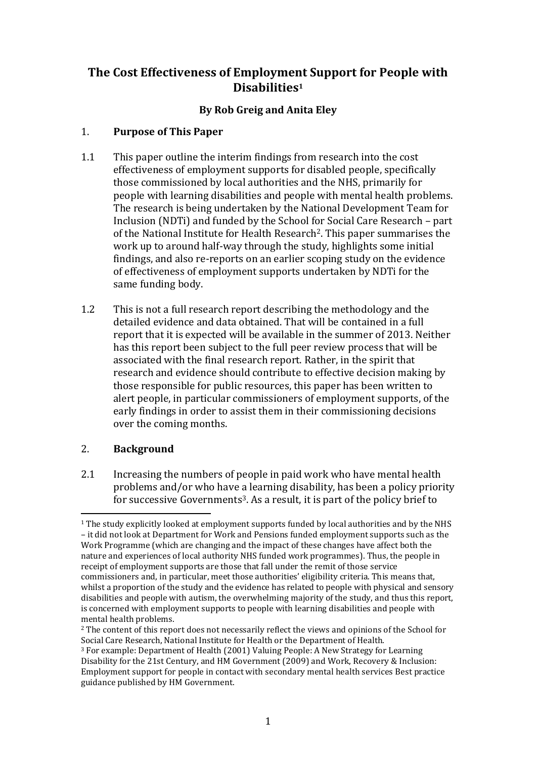# **The Cost Effectiveness of Employment Support for People with Disabilities<sup>1</sup>**

## **By Rob Greig and Anita Eley**

### 1. **Purpose of This Paper**

- 1.1 This paper outline the interim findings from research into the cost effectiveness of employment supports for disabled people, specifically those commissioned by local authorities and the NHS, primarily for people with learning disabilities and people with mental health problems. The research is being undertaken by the National Development Team for Inclusion (NDTi) and funded by the School for Social Care Research – part of the National Institute for Health Research2. This paper summarises the work up to around half-way through the study, highlights some initial findings, and also re-reports on an earlier scoping study on the evidence of effectiveness of employment supports undertaken by NDTi for the same funding body.
- 1.2 This is not a full research report describing the methodology and the detailed evidence and data obtained. That will be contained in a full report that it is expected will be available in the summer of 2013. Neither has this report been subject to the full peer review process that will be associated with the final research report. Rather, in the spirit that research and evidence should contribute to effective decision making by those responsible for public resources, this paper has been written to alert people, in particular commissioners of employment supports, of the early findings in order to assist them in their commissioning decisions over the coming months.

## 2. **Background**

2.1 Increasing the numbers of people in paid work who have mental health problems and/or who have a learning disability, has been a policy priority for successive Governments3. As a result, it is part of the policy brief to

 $\overline{a}$ <sup>1</sup> The study explicitly looked at employment supports funded by local authorities and by the NHS – it did not look at Department for Work and Pensions funded employment supports such as the Work Programme (which are changing and the impact of these changes have affect both the nature and experiences of local authority NHS funded work programmes). Thus, the people in receipt of employment supports are those that fall under the remit of those service commissioners and, in particular, meet those authorities' eligibility criteria. This means that, whilst a proportion of the study and the evidence has related to people with physical and sensory disabilities and people with autism, the overwhelming majority of the study, and thus this report, is concerned with employment supports to people with learning disabilities and people with mental health problems.

<sup>&</sup>lt;sup>2</sup> The content of this report does not necessarily reflect the views and opinions of the School for Social Care Research, National Institute for Health or the Department of Health.

<sup>3</sup> For example: Department of Health (2001) Valuing People: A New Strategy for Learning Disability for the 21st Century, and HM Government (2009) and Work, Recovery & Inclusion: Employment support for people in contact with secondary mental health services Best practice guidance published by HM Government.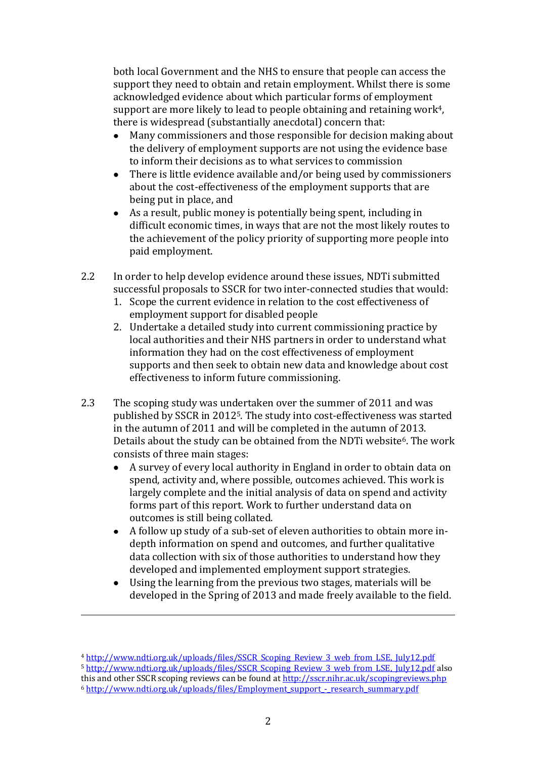both local Government and the NHS to ensure that people can access the support they need to obtain and retain employment. Whilst there is some acknowledged evidence about which particular forms of employment support are more likely to lead to people obtaining and retaining work<sup>4</sup>, there is widespread (substantially anecdotal) concern that:

- Many commissioners and those responsible for decision making about  $\bullet$ the delivery of employment supports are not using the evidence base to inform their decisions as to what services to commission
- There is little evidence available and/or being used by commissioners about the cost-effectiveness of the employment supports that are being put in place, and
- As a result, public money is potentially being spent, including in difficult economic times, in ways that are not the most likely routes to the achievement of the policy priority of supporting more people into paid employment.
- 2.2 In order to help develop evidence around these issues, NDTi submitted successful proposals to SSCR for two inter-connected studies that would:
	- 1. Scope the current evidence in relation to the cost effectiveness of employment support for disabled people
	- 2. Undertake a detailed study into current commissioning practice by local authorities and their NHS partners in order to understand what information they had on the cost effectiveness of employment supports and then seek to obtain new data and knowledge about cost effectiveness to inform future commissioning.
- 2.3 The scoping study was undertaken over the summer of 2011 and was published by SSCR in 20125. The study into cost-effectiveness was started in the autumn of 2011 and will be completed in the autumn of 2013. Details about the study can be obtained from the NDTi website<sup>6</sup>. The work consists of three main stages:
	- A survey of every local authority in England in order to obtain data on spend, activity and, where possible, outcomes achieved. This work is largely complete and the initial analysis of data on spend and activity forms part of this report. Work to further understand data on outcomes is still being collated.
	- A follow up study of a sub-set of eleven authorities to obtain more indepth information on spend and outcomes, and further qualitative data collection with six of those authorities to understand how they developed and implemented employment support strategies.
	- $\bullet$ Using the learning from the previous two stages, materials will be developed in the Spring of 2013 and made freely available to the field.

 $\overline{a}$ 

<sup>4</sup> [http://www.ndti.org.uk/uploads/files/SSCR\\_Scoping\\_Review\\_3\\_web\\_from\\_LSE,\\_July12.pdf](http://www.ndti.org.uk/uploads/files/SSCR_Scoping_Review_3_web_from_LSE,_July12.pdf) 5 [http://www.ndti.org.uk/uploads/files/SSCR\\_Scoping\\_Review\\_3\\_web\\_from\\_LSE,\\_July12.pdf](http://www.ndti.org.uk/uploads/files/SSCR_Scoping_Review_3_web_from_LSE,_July12.pdf) also this and other SSCR scoping reviews can be found at<http://sscr.nihr.ac.uk/scopingreviews.php> <sup>6</sup> [http://www.ndti.org.uk/uploads/files/Employment\\_support\\_-\\_research\\_summary.pdf](http://www.ndti.org.uk/uploads/files/Employment_support_-_research_summary.pdf)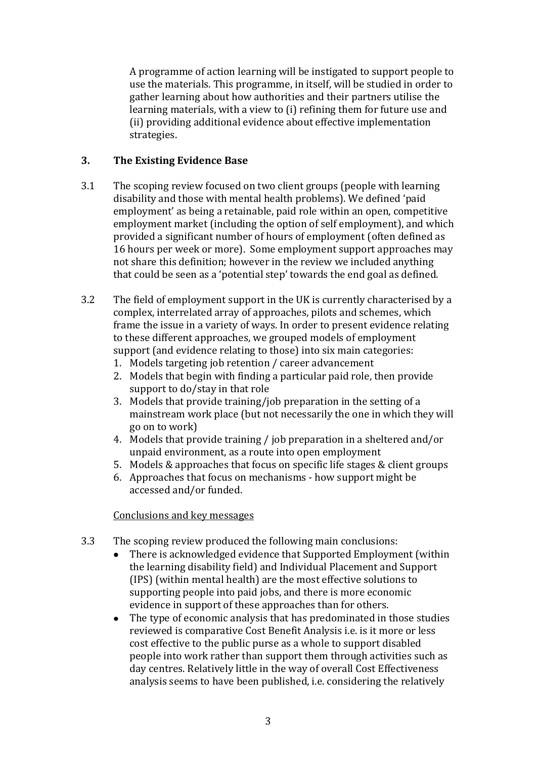A programme of action learning will be instigated to support people to use the materials. This programme, in itself, will be studied in order to gather learning about how authorities and their partners utilise the learning materials, with a view to (i) refining them for future use and (ii) providing additional evidence about effective implementation strategies.

## **3. The Existing Evidence Base**

- 3.1 The scoping review focused on two client groups (people with learning disability and those with mental health problems). We defined 'paid employment' as being a retainable, paid role within an open, competitive employment market (including the option of self employment), and which provided a significant number of hours of employment (often defined as 16 hours per week or more). Some employment support approaches may not share this definition; however in the review we included anything that could be seen as a 'potential step' towards the end goal as defined.
- 3.2 The field of employment support in the UK is currently characterised by a complex, interrelated array of approaches, pilots and schemes, which frame the issue in a variety of ways. In order to present evidence relating to these different approaches, we grouped models of employment support (and evidence relating to those) into six main categories:
	- 1. Models targeting job retention / career advancement
	- 2. Models that begin with finding a particular paid role, then provide support to do/stay in that role
	- 3. Models that provide training/job preparation in the setting of a mainstream work place (but not necessarily the one in which they will go on to work)
	- 4. Models that provide training / job preparation in a sheltered and/or unpaid environment, as a route into open employment
	- 5. Models & approaches that focus on specific life stages & client groups
	- 6. Approaches that focus on mechanisms how support might be accessed and/or funded.

#### Conclusions and key messages

- 3.3 The scoping review produced the following main conclusions:
	- There is acknowledged evidence that Supported Employment (within the learning disability field) and Individual Placement and Support (IPS) (within mental health) are the most effective solutions to supporting people into paid jobs, and there is more economic evidence in support of these approaches than for others.
	- $\bullet$ The type of economic analysis that has predominated in those studies reviewed is comparative Cost Benefit Analysis i.e. is it more or less cost effective to the public purse as a whole to support disabled people into work rather than support them through activities such as day centres. Relatively little in the way of overall Cost Effectiveness analysis seems to have been published, i.e. considering the relatively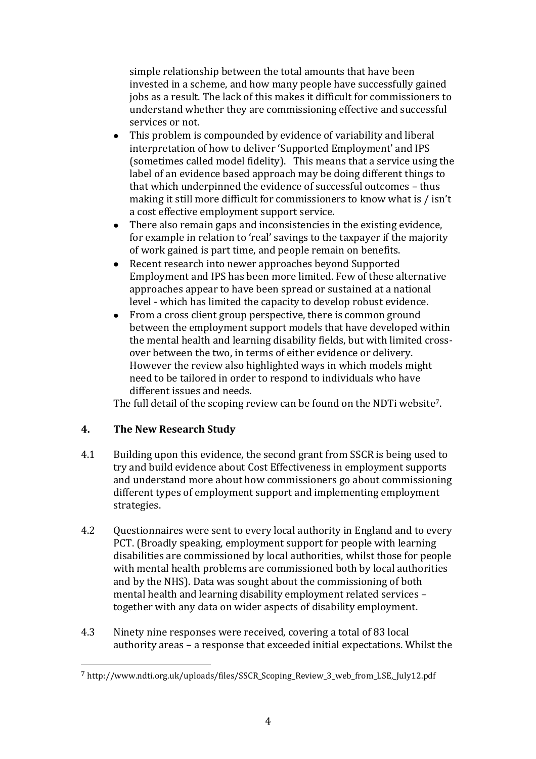simple relationship between the total amounts that have been invested in a scheme, and how many people have successfully gained jobs as a result. The lack of this makes it difficult for commissioners to understand whether they are commissioning effective and successful services or not.

- This problem is compounded by evidence of variability and liberal interpretation of how to deliver 'Supported Employment' and IPS (sometimes called model fidelity). This means that a service using the label of an evidence based approach may be doing different things to that which underpinned the evidence of successful outcomes – thus making it still more difficult for commissioners to know what is / isn't a cost effective employment support service.
- There also remain gaps and inconsistencies in the existing evidence, for example in relation to 'real' savings to the taxpayer if the majority of work gained is part time, and people remain on benefits.
- Recent research into newer approaches beyond Supported  $\bullet$ Employment and IPS has been more limited. Few of these alternative approaches appear to have been spread or sustained at a national level - which has limited the capacity to develop robust evidence.
- From a cross client group perspective, there is common ground between the employment support models that have developed within the mental health and learning disability fields, but with limited crossover between the two, in terms of either evidence or delivery. However the review also highlighted ways in which models might need to be tailored in order to respond to individuals who have different issues and needs.

The full detail of the scoping review can be found on the NDTi website7.

## **4. The New Research Study**

 $\overline{a}$ 

- 4.1 Building upon this evidence, the second grant from SSCR is being used to try and build evidence about Cost Effectiveness in employment supports and understand more about how commissioners go about commissioning different types of employment support and implementing employment strategies.
- 4.2 Questionnaires were sent to every local authority in England and to every PCT. (Broadly speaking, employment support for people with learning disabilities are commissioned by local authorities, whilst those for people with mental health problems are commissioned both by local authorities and by the NHS). Data was sought about the commissioning of both mental health and learning disability employment related services – together with any data on wider aspects of disability employment.
- 4.3 Ninety nine responses were received, covering a total of 83 local authority areas – a response that exceeded initial expectations. Whilst the

<sup>7</sup> http://www.ndti.org.uk/uploads/files/SSCR\_Scoping\_Review\_3\_web\_from\_LSE,\_July12.pdf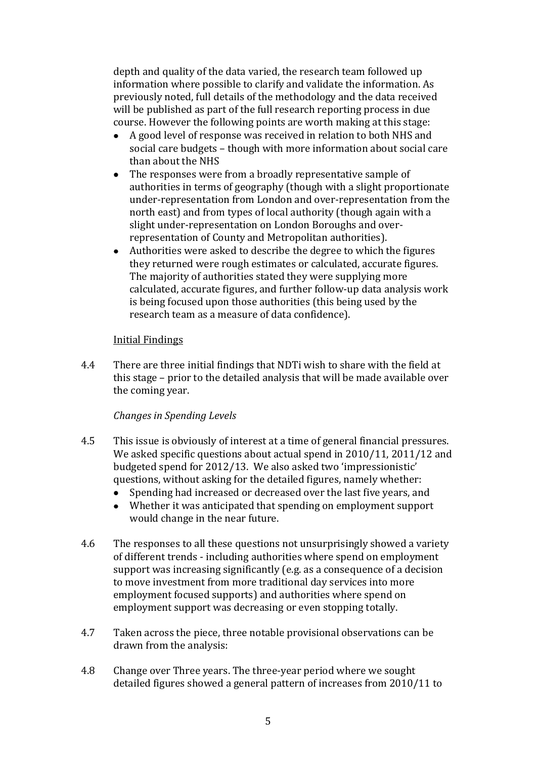depth and quality of the data varied, the research team followed up information where possible to clarify and validate the information. As previously noted, full details of the methodology and the data received will be published as part of the full research reporting process in due course. However the following points are worth making at this stage:

- A good level of response was received in relation to both NHS and social care budgets – though with more information about social care than about the NHS
- The responses were from a broadly representative sample of  $\bullet$ authorities in terms of geography (though with a slight proportionate under-representation from London and over-representation from the north east) and from types of local authority (though again with a slight under-representation on London Boroughs and overrepresentation of County and Metropolitan authorities).
- Authorities were asked to describe the degree to which the figures they returned were rough estimates or calculated, accurate figures. The majority of authorities stated they were supplying more calculated, accurate figures, and further follow-up data analysis work is being focused upon those authorities (this being used by the research team as a measure of data confidence).

#### Initial Findings

4.4 There are three initial findings that NDTi wish to share with the field at this stage – prior to the detailed analysis that will be made available over the coming year.

#### *Changes in Spending Levels*

- 4.5 This issue is obviously of interest at a time of general financial pressures. We asked specific questions about actual spend in 2010/11, 2011/12 and budgeted spend for 2012/13. We also asked two 'impressionistic' questions, without asking for the detailed figures, namely whether:
	- Spending had increased or decreased over the last five years, and  $\bullet$
	- Whether it was anticipated that spending on employment support would change in the near future.
- 4.6 The responses to all these questions not unsurprisingly showed a variety of different trends - including authorities where spend on employment support was increasing significantly (e.g. as a consequence of a decision to move investment from more traditional day services into more employment focused supports) and authorities where spend on employment support was decreasing or even stopping totally.
- 4.7 Taken across the piece, three notable provisional observations can be drawn from the analysis:
- 4.8 Change over Three years. The three-year period where we sought detailed figures showed a general pattern of increases from 2010/11 to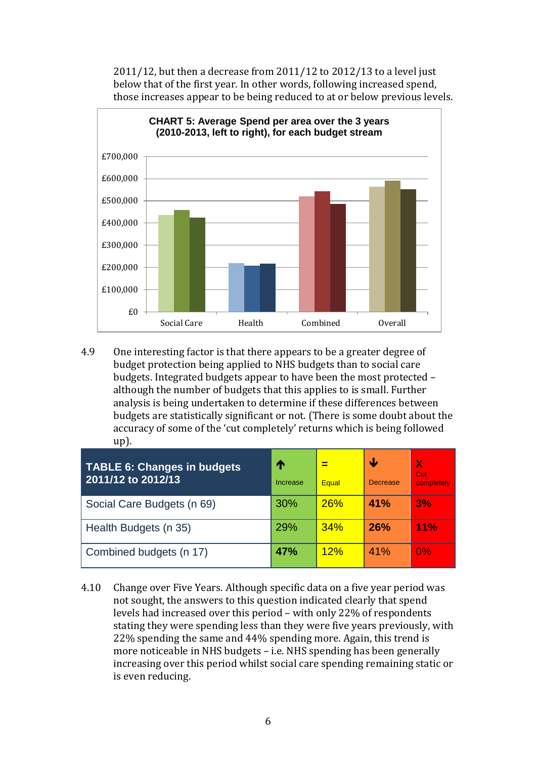2011/12, but then a decrease from 2011/12 to 2012/13 to a level just below that of the first year. In other words, following increased spend, those increases appear to be being reduced to at or below previous levels.



4.9 One interesting factor is that there appears to be a greater degree of budget protection being applied to NHS budgets than to social care budgets. Integrated budgets appear to have been the most protected – although the number of budgets that this applies to is small. Further analysis is being undertaken to determine if these differences between budgets are statistically significant or not. (There is some doubt about the accuracy of some of the 'cut completely' returns which is being followed up).

| TABLE 6: Changes in budgets<br>2011/12 to 2012/13 | ⋔<br>Increase | Equal      | Ψ<br><b>Decrease</b> | N<br>Cut<br>completely |
|---------------------------------------------------|---------------|------------|----------------------|------------------------|
| Social Care Budgets (n 69)                        | <b>30%</b>    | <b>26%</b> | 41%                  | 3%                     |
| Health Budgets (n 35)                             | 29%           | 34%        | 26%                  | 11%                    |
| Combined budgets (n 17)                           | <b>47%</b>    | 12%        | 41%                  | $0\%$                  |

4.10 Change over Five Years. Although specific data on a five year period was not sought, the answers to this question indicated clearly that spend levels had increased over this period – with only 22% of respondents stating they were spending less than they were five years previously, with 22% spending the same and 44% spending more. Again, this trend is more noticeable in NHS budgets – i.e. NHS spending has been generally increasing over this period whilst social care spending remaining static or is even reducing.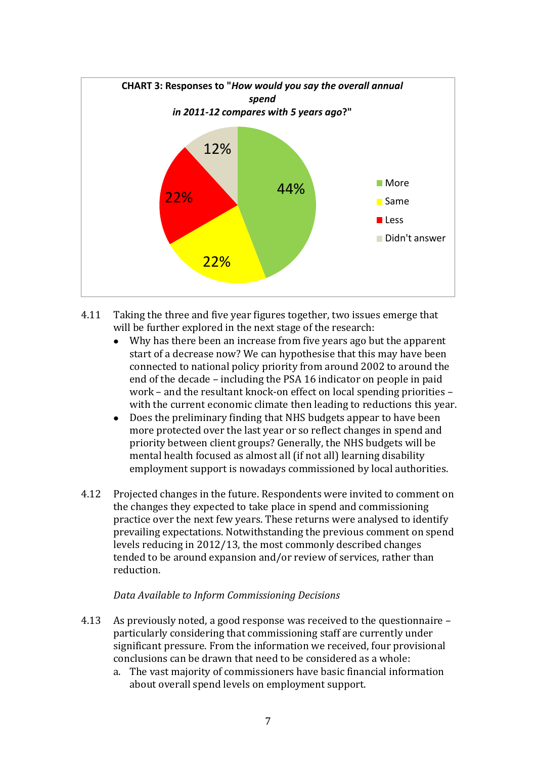

- 4.11 Taking the three and five year figures together, two issues emerge that will be further explored in the next stage of the research:
	- $\bullet$ Why has there been an increase from five years ago but the apparent start of a decrease now? We can hypothesise that this may have been connected to national policy priority from around 2002 to around the end of the decade – including the PSA 16 indicator on people in paid work – and the resultant knock-on effect on local spending priorities – with the current economic climate then leading to reductions this year.
	- Does the preliminary finding that NHS budgets appear to have been more protected over the last year or so reflect changes in spend and priority between client groups? Generally, the NHS budgets will be mental health focused as almost all (if not all) learning disability employment support is nowadays commissioned by local authorities.
- 4.12 Projected changes in the future. Respondents were invited to comment on the changes they expected to take place in spend and commissioning practice over the next few years. These returns were analysed to identify prevailing expectations. Notwithstanding the previous comment on spend levels reducing in 2012/13, the most commonly described changes tended to be around expansion and/or review of services, rather than reduction.

#### *Data Available to Inform Commissioning Decisions*

- 4.13 As previously noted, a good response was received to the questionnaire particularly considering that commissioning staff are currently under significant pressure. From the information we received, four provisional conclusions can be drawn that need to be considered as a whole:
	- a. The vast majority of commissioners have basic financial information about overall spend levels on employment support.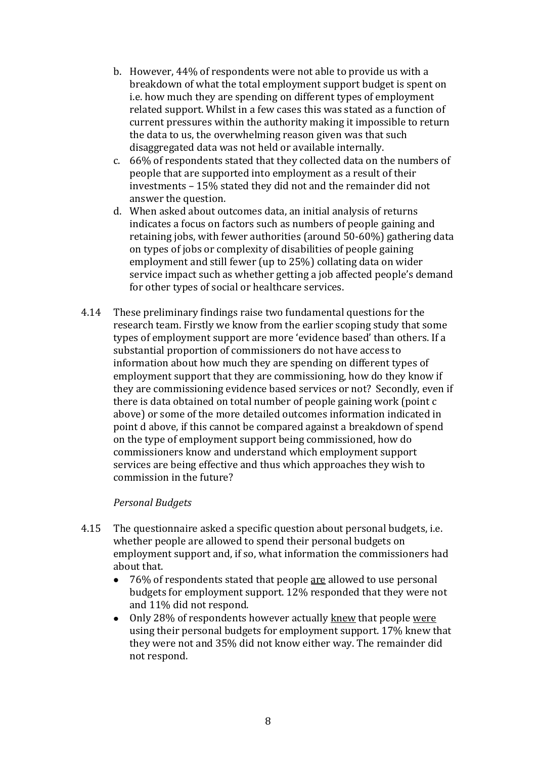- b. However, 44% of respondents were not able to provide us with a breakdown of what the total employment support budget is spent on i.e. how much they are spending on different types of employment related support. Whilst in a few cases this was stated as a function of current pressures within the authority making it impossible to return the data to us, the overwhelming reason given was that such disaggregated data was not held or available internally.
- c. 66% of respondents stated that they collected data on the numbers of people that are supported into employment as a result of their investments – 15% stated they did not and the remainder did not answer the question.
- d. When asked about outcomes data, an initial analysis of returns indicates a focus on factors such as numbers of people gaining and retaining jobs, with fewer authorities (around 50-60%) gathering data on types of jobs or complexity of disabilities of people gaining employment and still fewer (up to 25%) collating data on wider service impact such as whether getting a job affected people's demand for other types of social or healthcare services.
- 4.14 These preliminary findings raise two fundamental questions for the research team. Firstly we know from the earlier scoping study that some types of employment support are more 'evidence based' than others. If a substantial proportion of commissioners do not have access to information about how much they are spending on different types of employment support that they are commissioning, how do they know if they are commissioning evidence based services or not? Secondly, even if there is data obtained on total number of people gaining work (point c above) or some of the more detailed outcomes information indicated in point d above, if this cannot be compared against a breakdown of spend on the type of employment support being commissioned, how do commissioners know and understand which employment support services are being effective and thus which approaches they wish to commission in the future?

#### *Personal Budgets*

- 4.15 The questionnaire asked a specific question about personal budgets, i.e. whether people are allowed to spend their personal budgets on employment support and, if so, what information the commissioners had about that.
	- 76% of respondents stated that people are allowed to use personal  $\bullet$ budgets for employment support. 12% responded that they were not and 11% did not respond.
	- Only 28% of respondents however actually knew that people were  $\bullet$ using their personal budgets for employment support. 17% knew that they were not and 35% did not know either way. The remainder did not respond.